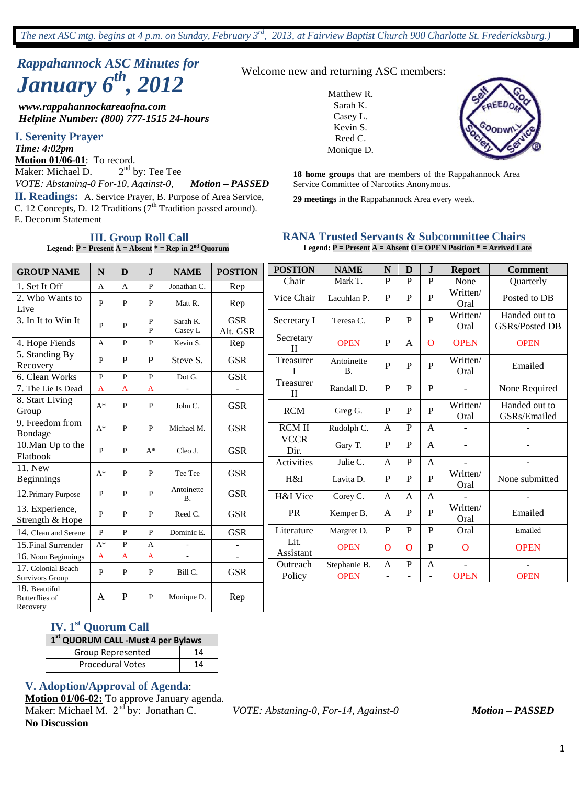# *Rappahannock ASC Minutes for January 6th , 2012*

*www.rappahannockareaofna.com Helpline Number: (800) 777-1515 24-hours*

**I. Serenity Prayer**

**II. Readings:** A. Service Prayer, B. Purpose of Area Service, 29 meetings in the Rappahannock Area every week. C. 12 Concepts, D. 12 Traditions ( $7<sup>th</sup>$  Tradition passed around). E. Decorum Statement *Time: 4:02pm* **Motion 01/06-01**: To record. Maker: Michael D. 2  $2<sup>nd</sup>$  by: Tee Tee *VOTE: Abstaning-0 For-10, Against-0, Motion – PASSED*

**III. Group Roll Call Legend:**  $P = \text{Present A} = \text{Absent}^* = \text{Rep in } 2^{\text{nd}}$  Quorum Welcome new and returning ASC members:

Matthew R. Sarah K. Casey L. Kevin S. Reed C. Monique D.



**18 home groups** that are members of the Rappahannock Area Service Committee of Narcotics Anonymous.

#### **RANA Trusted Servants & Subcommittee Chairs Legend: P = Present A = Absent O = OPEN Position \* = Arrived Late**

| <b>GROUP NAME</b>                                  | $\mathbf N$                  | D            | $\mathbf{J}$      | <b>NAME</b>            | <b>POSTION</b>           | <b>POSTION</b>            | <b>NAME</b>                 | N                   | $\mathbf{D}$   | $\mathbf{J}$        | <b>Report</b>            | <b>Comment</b>                         |
|----------------------------------------------------|------------------------------|--------------|-------------------|------------------------|--------------------------|---------------------------|-----------------------------|---------------------|----------------|---------------------|--------------------------|----------------------------------------|
|                                                    |                              |              |                   |                        |                          | Chair                     | Mark T.                     | P                   | $\overline{P}$ | P                   | None                     | <b>Ouarterly</b>                       |
| 1. Set It Off<br>2. Who Wants to<br>Live           | $\mathbf{A}$<br>$\mathbf{P}$ | A<br>P       | $\mathbf{P}$<br>P | Jonathan C.<br>Matt R. | Rep<br>Rep               | Vice Chair                | Lacuhlan P.                 | $\mathbf P$         | $\mathbf P$    | $\mathbf{P}$        | Written/<br>Oral         | Posted to DB                           |
| 3. In It to Win It                                 | $\mathbf{P}$                 | $\mathbf{P}$ | P<br>$\mathbf{p}$ | Sarah K.<br>Casey L    | <b>GSR</b><br>Alt. GSR   | Secretary I               | Teresa C.                   | P                   | $\mathbf P$    | $\overline{P}$      | Written/<br>Oral         | Handed out to<br><b>GSRs/Posted DB</b> |
| 4. Hope Fiends                                     | $\mathbf{A}$                 | P            | $\mathbf{P}$      | Kevin S.               | Rep                      | Secretary<br>$\mathbf{H}$ | <b>OPEN</b>                 | $\mathbf P$         | $\mathbf{A}$   | $\mathbf{O}$        | <b>OPEN</b>              | <b>OPEN</b>                            |
| 5. Standing By<br>Recovery                         | $\mathbf{P}$                 | P            | P                 | Steve S.               | <b>GSR</b>               | Treasurer                 | Antoinette<br><b>B.</b>     | $\mathbf{P}$        | P              | $\mathbf{P}$        | Written/<br>Oral         | Emailed                                |
| 6. Clean Works                                     | $\mathbf{P}$                 | $\mathbf{P}$ | $\mathbf{P}$      | Dot G.                 | <b>GSR</b>               | Treasurer                 |                             |                     |                |                     |                          |                                        |
| 7. The Lie Is Dead                                 | $\overline{A}$               | A            | A                 |                        |                          | $\mathbf{I}$              | Randall D.                  | P                   | P              | $\mathbf{P}$        | $\overline{\phantom{a}}$ | None Required                          |
| 8. Start Living<br>Group                           | $A^*$                        | $\mathbf{P}$ | $\mathbf{P}$      | John C.                | <b>GSR</b>               | <b>RCM</b>                | Greg G.                     | P                   | P              | P                   | Written/<br>Oral         | Handed out to<br>GSRs/Emailed          |
| 9. Freedom from<br>Bondage                         | $A^*$                        | P            | $\mathbf{P}$      | Michael M.             | <b>GSR</b>               | <b>RCMII</b>              | Rudolph C.                  | $\mathbf{A}$        | $\mathbf P$    | A                   | $\overline{a}$           |                                        |
| 10. Man Up to the<br>Flatbook                      | $\mathbf{P}$                 | $\mathbf{P}$ | $A^*$             | Cleo J.                | <b>GSR</b>               | <b>VCCR</b><br>Dir.       | Gary T.                     | P                   | P              | A                   | $\overline{a}$           |                                        |
| 11. New                                            |                              |              |                   |                        |                          | Activities                | Julie C.                    | $\mathbf{A}$        | P              | A                   | ۰                        | $\overline{a}$                         |
| Beginnings                                         | $A^*$                        | P            | P                 | Tee Tee                | <b>GSR</b>               | H&I                       | Lavita D.                   | P                   | P              | $\mathbf{P}$        | Written/<br>Oral         | None submitted                         |
| 12. Primary Purpose                                | P                            | P            | P                 | Antoinette<br>В.       | <b>GSR</b>               | H&I Vice                  | Corey C.                    | $\mathbf{A}$        | $\mathbf{A}$   | $\mathbf{A}$        | $\overline{a}$           |                                        |
| 13. Experience,<br>Strength & Hope                 | $\mathbf{p}$                 | $\mathbf{P}$ | $\mathbf{P}$      | Reed C.                | <b>GSR</b>               | <b>PR</b>                 | Kemper B.                   | $\mathsf{A}$        | P              | $\mathbf{P}$        | Written/<br>Oral         | Emailed                                |
| 14. Clean and Serene                               | $\mathbf{p}$                 | $\mathbf{P}$ | $\mathbf{P}$      | Dominic E.             | <b>GSR</b>               | Literature                | Margret D.                  | P                   | P              | P                   | Oral                     | Emailed                                |
| 15. Final Surrender                                | $A^*$                        | $\mathbf{P}$ | $\mathsf{A}$      | $\overline{a}$         | $\overline{\phantom{a}}$ | Lit.                      | <b>OPEN</b>                 | $\Omega$            | $\Omega$       | P                   | $\mathbf{O}$             | <b>OPEN</b>                            |
| 16. Noon Beginnings                                | $\mathbf{A}$                 | A            | A                 |                        | $\overline{\phantom{a}}$ | Assistant                 |                             |                     |                |                     |                          |                                        |
| 17. Colonial Beach<br>Survivors Group              | $\mathbf{p}$                 | P            | P                 | Bill C.                | <b>GSR</b>               | Outreach<br>Policy        | Stephanie B.<br><b>OPEN</b> | A<br>$\blacksquare$ | $\mathbf P$    | A<br>$\blacksquare$ | <b>OPEN</b>              | <b>OPEN</b>                            |
| 18. Beautiful<br><b>Butterflies</b> of<br>Recovery | A                            | P            | $\mathbf{P}$      | Monique D.             | Rep                      |                           |                             |                     |                |                     |                          |                                        |

# **IV. 1st Quorum Call**

| 1 <sup>st</sup> QUORUM CALL -Must 4 per Bylaws |    |  |  |  |  |
|------------------------------------------------|----|--|--|--|--|
| Group Represented                              | 14 |  |  |  |  |
| <b>Procedural Votes</b>                        | 14 |  |  |  |  |

#### **V. Adoption/Approval of Agenda**:

**Motion 01/06-02:** To approve January agenda. Maker: Michael M.  $2<sup>nd</sup>$  by: Jonathan C. **No Discussion**

nd by: Jonathan C. *VOTE: Abstaning-0, For-14, Against-0 Motion – PASSED*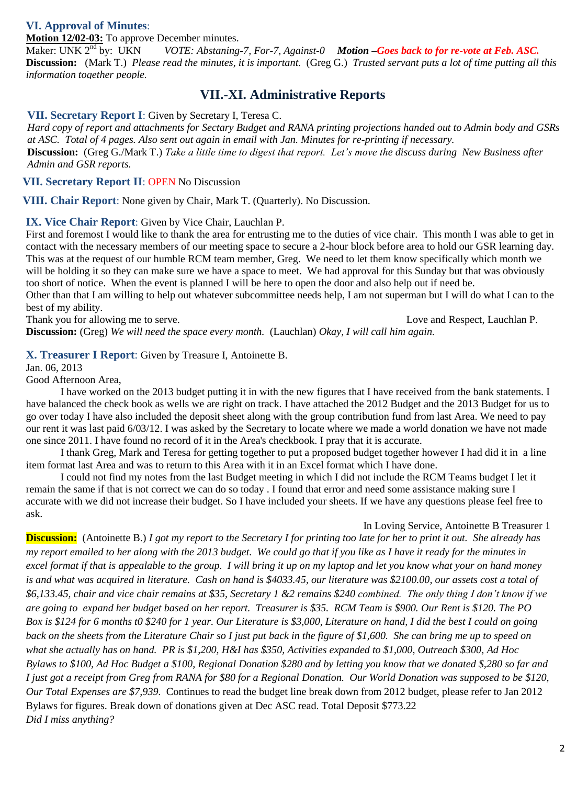### *(***VI. Approval of Minutes**:

**Motion 12/02-03:** To approve December minutes.<br>Maker: UNK 2<sup>nd</sup> by: UKN *VOTE: Abstaning* 

VOTE: Abstaning-7, For-7, Against-0 **Motion –Goes back to for re-vote at Feb. ASC. Discussion:** (Mark T.) *Please read the minutes, it is important.* (Greg G.) *Trusted servant puts a lot of time putting all this information together people.*

# **VII.-XI. Administrative Reports**

**VII. Secretary Report I**: Given by Secretary I, Teresa C.

*Hard copy of report and attachments for Sectary Budget and RANA printing projections handed out to Admin body and GSRs at ASC. Total of 4 pages. Also sent out again in email with Jan. Minutes for re-printing if necessary.* **Discussion:** (Greg G./Mark T.) *Take a little time to digest that report. Let's move the discuss during New Business after Admin and GSR reports.*

**VII. Secretary Report II**: OPEN No Discussion

**VIII. Chair Report**: None given by Chair, Mark T. (Quarterly). No Discussion.

**IX. Vice Chair Report**: Given by Vice Chair, Lauchlan P.

First and foremost I would like to thank the area for entrusting me to the duties of vice chair. This month I was able to get in contact with the necessary members of our meeting space to secure a 2-hour block before area to hold our GSR learning day. This was at the request of our humble RCM team member, Greg. We need to let them know specifically which month we will be holding it so they can make sure we have a space to meet. We had approval for this Sunday but that was obviously too short of notice. When the event is planned I will be here to open the door and also help out if need be.

Other than that I am willing to help out whatever subcommittee needs help, I am not superman but I will do what I can to the best of my ability.

Thank you for allowing me to serve. Love and Respect, Lauchlan P. **Discussion:** (Greg) *We will need the space every month.* (Lauchlan) *Okay, I will call him again.* 

#### **X. Treasurer I Report**: Given by Treasure I, Antoinette B.

Jan. 06, 2013

Good Afternoon Area,

I have worked on the 2013 budget putting it in with the new figures that I have received from the bank statements. I have balanced the check book as wells we are right on track. I have attached the 2012 Budget and the 2013 Budget for us to go over today I have also included the deposit sheet along with the group contribution fund from last Area. We need to pay our rent it was last paid 6/03/12. I was asked by the Secretary to locate where we made a world donation we have not made one since 2011. I have found no record of it in the Area's checkbook. I pray that it is accurate.

I thank Greg, Mark and Teresa for getting together to put a proposed budget together however I had did it in a line item format last Area and was to return to this Area with it in an Excel format which I have done.

I could not find my notes from the last Budget meeting in which I did not include the RCM Teams budget I let it remain the same if that is not correct we can do so today . I found that error and need some assistance making sure I accurate with we did not increase their budget. So I have included your sheets. If we have any questions please feel free to ask.

In Loving Service, Antoinette B Treasurer 1

**Discussion:** (Antoinette B.) *I got my report to the Secretary I for printing too late for her to print it out. She already has my report emailed to her along with the 2013 budget. We could go that if you like as I have it ready for the minutes in excel format if that is appealable to the group. I will bring it up on my laptop and let you know what your on hand money is and what was acquired in literature. Cash on hand is \$4033.45, our literature was \$2100.00, our assets cost a total of \$6,133.45, chair and vice chair remains at \$35, Secretary 1 &2 remains \$240 combined. The only thing I don't know if we are going to expand her budget based on her report. Treasurer is \$35. RCM Team is \$900. Our Rent is \$120. The PO Box is \$124 for 6 months t0 \$240 for 1 year. Our Literature is \$3,000, Literature on hand, I did the best I could on going back on the sheets from the Literature Chair so I just put back in the figure of \$1,600. She can bring me up to speed on what she actually has on hand. PR is \$1,200, H&I has \$350, Activities expanded to \$1,000, Outreach \$300, Ad Hoc Bylaws to \$100, Ad Hoc Budget a \$100, Regional Donation \$280 and by letting you know that we donated \$,280 so far and I just got a receipt from Greg from RANA for \$80 for a Regional Donation. Our World Donation was supposed to be \$120, Our Total Expenses are \$7,939.* Continues to read the budget line break down from 2012 budget, please refer to Jan 2012 Bylaws for figures. Break down of donations given at Dec ASC read. Total Deposit \$773.22 *Did I miss anything?*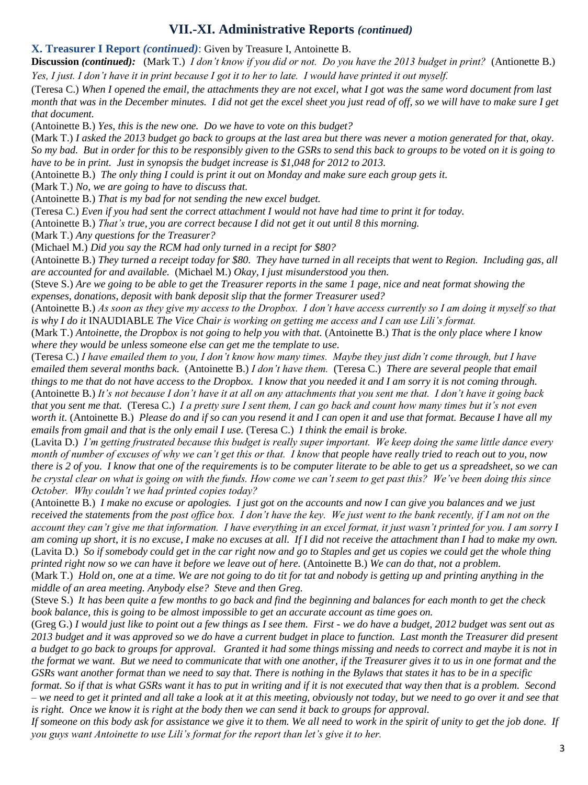# **VII.-XI. Administrative Reports** *(continued)*

#### **X. Treasurer I Report** *(continued)*: Given by Treasure I, Antoinette B.

**Discussion** *(continued):* (Mark T.) *I don't know if you did or not. Do you have the 2013 budget in print?* (Antionette B.) *Yes, I just. I don't have it in print because I got it to her to late. I would have printed it out myself.*

(Teresa C.) *When I opened the email, the attachments they are not excel, what I got was the same word document from last month that was in the December minutes. I did not get the excel sheet you just read of off, so we will have to make sure I get that document.*

(Antoinette B.) *Yes, this is the new one. Do we have to vote on this budget?*

(Mark T.) *I asked the 2013 budget go back to groups at the last area but there was never a motion generated for that, okay. So my bad. But in order for this to be responsibly given to the GSRs to send this back to groups to be voted on it is going to have to be in print. Just in synopsis the budget increase is \$1,048 for 2012 to 2013.*

(Antoinette B.) *The only thing I could is print it out on Monday and make sure each group gets it.*

(Mark T.) *No, we are going to have to discuss that.*

(Antoinette B.) *That is my bad for not sending the new excel budget.*

(Teresa C.) *Even if you had sent the correct attachment I would not have had time to print it for today.*

(Antoinette B.) *That's true, you are correct because I did not get it out until 8 this morning.* 

(Mark T.) *Any questions for the Treasurer?*

(Michael M.) *Did you say the RCM had only turned in a recipt for \$80?*

(Antoinette B.) *They turned a receipt today for \$80. They have turned in all receipts that went to Region. Including gas, all are accounted for and available.* (Michael M.) *Okay, I just misunderstood you then.* 

(Steve S.) *Are we going to be able to get the Treasurer reports in the same 1 page, nice and neat format showing the expenses, donations, deposit with bank deposit slip that the former Treasurer used?*

(Antoinette B.) *As soon as they give my access to the Dropbox. I don't have access currently so I am doing it myself so that is why I do it* INAUDIABLE *The Vice Chair is working on getting me access and I can use Lili's format.* 

(Mark T.) *Antoinette, the Dropbox is not going to help you with that.* (Antoinette B.) *That is the only place where I know where they would be unless someone else can get me the template to use.*

(Teresa C.) *I have emailed them to you, I don't know how many times. Maybe they just didn't come through, but I have emailed them several months back.* (Antoinette B.) *I don't have them.* (Teresa C.) *There are several people that email things to me that do not have access to the Dropbox. I know that you needed it and I am sorry it is not coming through.*  (Antoinette B.) *It's not because I don't have it at all on any attachments that you sent me that. I don't have it going back that you sent me that.* (Teresa C.) *I a pretty sure I sent them, I can go back and count how many times but it's not even worth it.* (Antoinette B.) *Please do and if so can you resend it and I can open it and use that format. Because I have all my emails from gmail and that is the only email I use.* (Teresa C.) *I think the email is broke.*

(Lavita D.) *I'm getting frustrated because this budget is really super important. We keep doing the same little dance every month of number of excuses of why we can't get this or that. I know that people have really tried to reach out to you, now there is 2 of you. I know that one of the requirements is to be computer literate to be able to get us a spreadsheet, so we can be crystal clear on what is going on with the funds. How come we can't seem to get past this? We've been doing this since October. Why couldn't we had printed copies today?* 

(Antoinette B.) *I make no excuse or apologies. I just got on the accounts and now I can give you balances and we just received the statements from the post office box. I don't have the key. We just went to the bank recently, if I am not on the account they can't give me that information. I have everything in an excel format, it just wasn't printed for you. I am sorry I am coming up short, it is no excuse, I make no excuses at all. If I did not receive the attachment than I had to make my own.*  (Lavita D.) *So if somebody could get in the car right now and go to Staples and get us copies we could get the whole thing printed right now so we can have it before we leave out of here.* (Antoinette B.) *We can do that, not a problem.* 

(Mark T.) *Hold on, one at a time. We are not going to do tit for tat and nobody is getting up and printing anything in the middle of an area meeting. Anybody else? Steve and then Greg.*

(Steve S.) *It has been quite a few months to go back and find the beginning and balances for each month to get the check book balance, this is going to be almost impossible to get an accurate account as time goes on.*

(Greg G.) *I would just like to point out a few things as I see them. First - we do have a budget, 2012 budget was sent out as 2013 budget and it was approved so we do have a current budget in place to function. Last month the Treasurer did present a budget to go back to groups for approval. Granted it had some things missing and needs to correct and maybe it is not in the format we want. But we need to communicate that with one another, if the Treasurer gives it to us in one format and the GSRs want another format than we need to say that. There is nothing in the Bylaws that states it has to be in a specific* 

*format. So if that is what GSRs want it has to put in writing and if it is not executed that way then that is a problem. Second – we need to get it printed and all take a look at it at this meeting, obviously not today, but we need to go over it and see that is right. Once we know it is right at the body then we can send it back to groups for approval.* 

*If someone on this body ask for assistance we give it to them. We all need to work in the spirit of unity to get the job done. If you guys want Antoinette to use Lili's format for the report than let's give it to her.*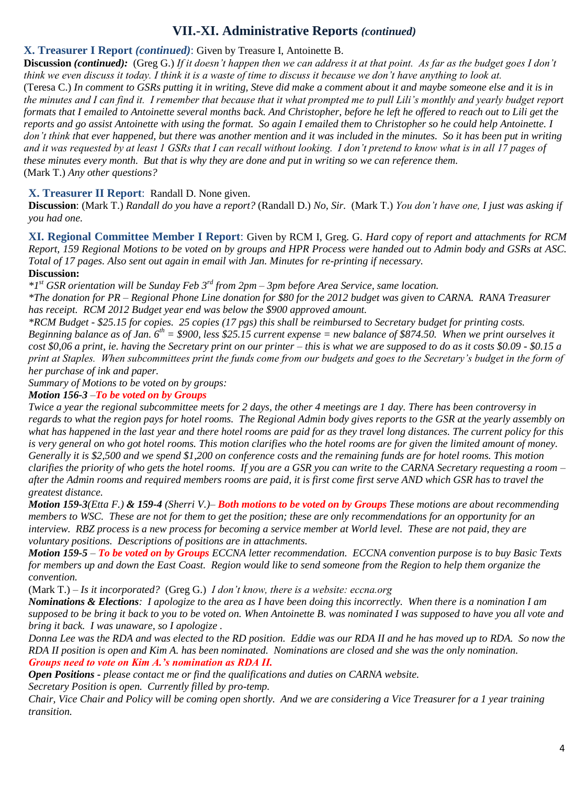# **VII.-XI. Administrative Reports** *(continued)*

### **X. Treasurer I Report** *(continued)*: Given by Treasure I, Antoinette B.

**Discussion** *(continued):* (Greg G.) *If it doesn't happen then we can address it at that point. As far as the budget goes I don't think we even discuss it today. I think it is a waste of time to discuss it because we don't have anything to look at.* (Teresa C.) *In comment to GSRs putting it in writing, Steve did make a comment about it and maybe someone else and it is in the minutes and I can find it. I remember that because that it what prompted me to pull Lili's monthly and yearly budget report formats that I emailed to Antoinette several months back. And Christopher, before he left he offered to reach out to Lili get the reports and go assist Antoinette with using the format. So again I emailed them to Christopher so he could help Antoinette. I don't think that ever happened, but there was another mention and it was included in the minutes. So it has been put in writing and it was requested by at least 1 GSRs that I can recall without looking. I don't pretend to know what is in all 17 pages of these minutes every month. But that is why they are done and put in writing so we can reference them.*  (Mark T.) *Any other questions?*

### **X. Treasurer II Report**: Randall D. None given.

**Discussion**: (Mark T.) *Randall do you have a report?* (Randall D.) *No, Sir.* (Mark T.) *You don't have one, I just was asking if you had one.*

**XI. Regional Committee Member I Report**: Given by RCM I, Greg. G. *Hard copy of report and attachments for RCM Report, 159 Regional Motions to be voted on by groups and HPR Process were handed out to Admin body and GSRs at ASC. Total of 17 pages. Also sent out again in email with Jan. Minutes for re-printing if necessary.*

**Discussion:**

*\*1 st GSR orientation will be Sunday Feb 3rd from 2pm – 3pm before Area Service, same location.*

*\*The donation for PR – Regional Phone Line donation for \$80 for the 2012 budget was given to CARNA. RANA Treasurer has receipt. RCM 2012 Budget year end was below the \$900 approved amount.*

*\*RCM Budget - \$25.15 for copies. 25 copies (17 pgs) this shall be reimbursed to Secretary budget for printing costs. Beginning balance as of Jan. 6th = \$900, less \$25.15 current expense = new balance of \$874.50. When we print ourselves it cost \$0,06 a print, ie. having the Secretary print on our printer – this is what we are supposed to do as it costs \$0.09 - \$0.15 a print at Staples. When subcommittees print the funds come from our budgets and goes to the Secretary's budget in the form of her purchase of ink and paper.*

*Summary of Motions to be voted on by groups:*

#### *Motion 156-3 –To be voted on by Groups*

*Twice a year the regional subcommittee meets for 2 days, the other 4 meetings are 1 day. There has been controversy in regards to what the region pays for hotel rooms. The Regional Admin body gives reports to the GSR at the yearly assembly on what has happened in the last year and there hotel rooms are paid for as they travel long distances. The current policy for this is very general on who got hotel rooms. This motion clarifies who the hotel rooms are for given the limited amount of money. Generally it is \$2,500 and we spend \$1,200 on conference costs and the remaining funds are for hotel rooms. This motion clarifies the priority of who gets the hotel rooms. If you are a GSR you can write to the CARNA Secretary requesting a room – after the Admin rooms and required members rooms are paid, it is first come first serve AND which GSR has to travel the greatest distance.* 

*Motion 159-3(Etta F.) & 159-4 (Sherri V.)– Both motions to be voted on by Groups These motions are about recommending members to WSC. These are not for them to get the position; these are only recommendations for an opportunity for an interview. RBZ process is a new process for becoming a service member at World level. These are not paid, they are voluntary positions. Descriptions of positions are in attachments.* 

*Motion 159-5 – To be voted on by Groups ECCNA letter recommendation. ECCNA convention purpose is to buy Basic Texts for members up and down the East Coast. Region would like to send someone from the Region to help them organize the convention.*

(Mark T.) – *Is it incorporated?* (Greg G.) *I don't know, there is a website: eccna.org* 

*Nominations & Elections: I apologize to the area as I have been doing this incorrectly. When there is a nomination I am supposed to be bring it back to you to be voted on. When Antoinette B. was nominated I was supposed to have you all vote and bring it back. I was unaware, so I apologize .* 

*Donna Lee was the RDA and was elected to the RD position. Eddie was our RDA II and he has moved up to RDA. So now the RDA II position is open and Kim A. has been nominated. Nominations are closed and she was the only nomination. Groups need to vote on Kim A.'s nomination as RDA II.* 

*Open Positions - please contact me or find the qualifications and duties on CARNA website.*

*Secretary Position is open. Currently filled by pro-temp.* 

*Chair, Vice Chair and Policy will be coming open shortly. And we are considering a Vice Treasurer for a 1 year training transition.*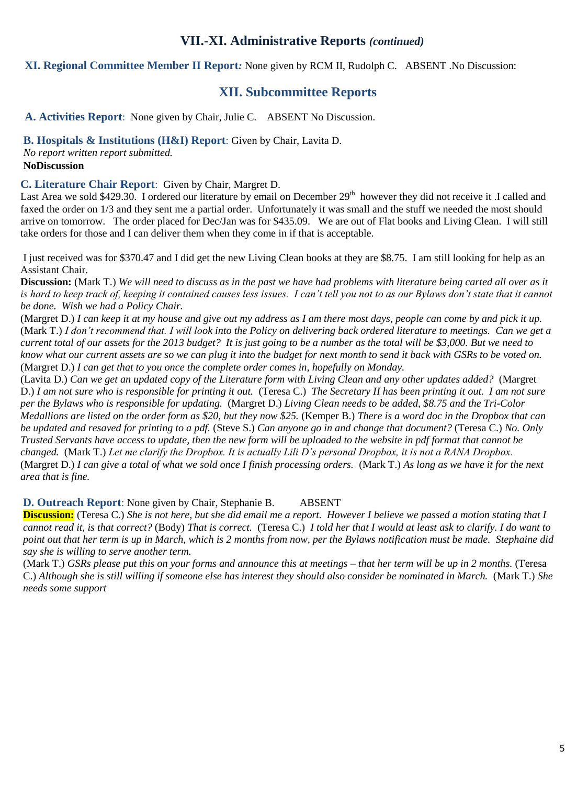# **VII.-XI. Administrative Reports** *(continued)*

**XI. Regional Committee Member II Report***:* None given by RCM II, Rudolph C. ABSENT .No Discussion:

# **XII. Subcommittee Reports**

**A. Activities Report**: None given by Chair, Julie C. ABSENT No Discussion.

**B. Hospitals & Institutions (H&I) Report**: Given by Chair, Lavita D.

*No report written report submitted.* **NoDiscussion**

**C. Literature Chair Report**: Given by Chair, Margret D.

Last Area we sold \$429.30. I ordered our literature by email on December  $29<sup>th</sup>$  however they did not receive it .I called and faxed the order on 1/3 and they sent me a partial order. Unfortunately it was small and the stuff we needed the most should arrive on tomorrow. The order placed for Dec/Jan was for \$435.09. We are out of Flat books and Living Clean. I will still take orders for those and I can deliver them when they come in if that is acceptable.

I just received was for \$370.47 and I did get the new Living Clean books at they are \$8.75. I am still looking for help as an Assistant Chair.

**Discussion:** (Mark T.) *We will need to discuss as in the past we have had problems with literature being carted all over as it is hard to keep track of, keeping it contained causes less issues. I can't tell you not to as our Bylaws don't state that it cannot be done. Wish we had a Policy Chair.*

(Margret D.) *I can keep it at my house and give out my address as I am there most days, people can come by and pick it up.*  (Mark T.) *I don't recommend that. I will look into the Policy on delivering back ordered literature to meetings. Can we get a current total of our assets for the 2013 budget? It is just going to be a number as the total will be \$3,000. But we need to know what our current assets are so we can plug it into the budget for next month to send it back with GSRs to be voted on.*  (Margret D.) *I can get that to you once the complete order comes in, hopefully on Monday.* 

(Lavita D.) *Can we get an updated copy of the Literature form with Living Clean and any other updates added?* (Margret D.) *I am not sure who is responsible for printing it out.* (Teresa C.) *The Secretary II has been printing it out. I am not sure per the Bylaws who is responsible for updating.* (Margret D.) *Living Clean needs to be added, \$8.75 and the Tri-Color Medallions are listed on the order form as \$20, but they now \$25.* (Kemper B.) *There is a word doc in the Dropbox that can be updated and resaved for printing to a pdf.* (Steve S.) *Can anyone go in and change that document?* (Teresa C.) *No. Only Trusted Servants have access to update, then the new form will be uploaded to the website in pdf format that cannot be changed.* (Mark T.) *Let me clarify the Dropbox. It is actually Lili D's personal Dropbox, it is not a RANA Dropbox.*  (Margret D.) *I can give a total of what we sold once I finish processing orders.* (Mark T.) *As long as we have it for the next area that is fine.* 

**D. Outreach Report**: None given by Chair, Stephanie B. ABSENT

**Discussion:** (Teresa C.) *She is not here, but she did email me a report. However I believe we passed a motion stating that I cannot read it, is that correct?* (Body) *That is correct.* (Teresa C.) *I told her that I would at least ask to clarify. I do want to point out that her term is up in March, which is 2 months from now, per the Bylaws notification must be made. Stephaine did say she is willing to serve another term.*

(Mark T.) *GSRs please put this on your forms and announce this at meetings – that her term will be up in 2 months.* (Teresa C.) *Although she is still willing if someone else has interest they should also consider be nominated in March.* (Mark T.) *She needs some support*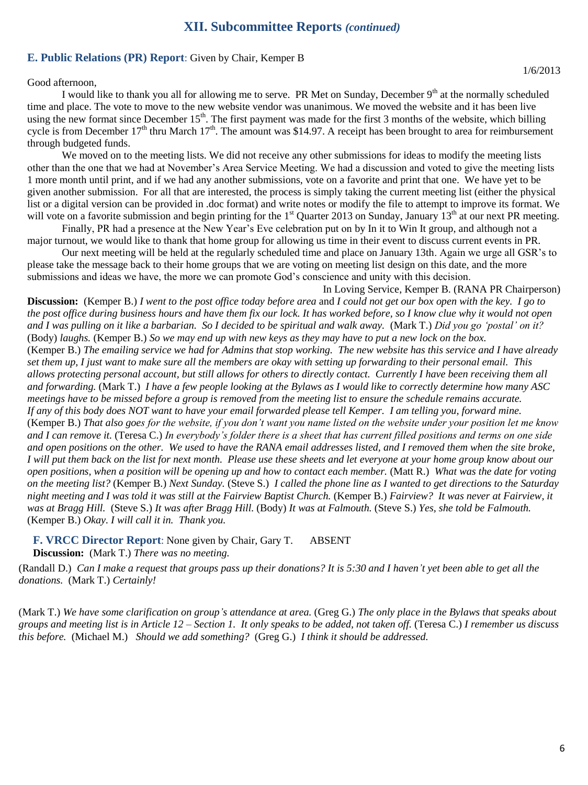# **XIXII. Subcommittee Reports** *(continued)* **XIII. Subcommittee Reports** *(continued)* **. Subcommittee Reports** *(continued)*

#### **E. Public Relations (PR) Report**: Given by Chair, Kemper B

Good afternoon,

I would like to thank you all for allowing me to serve. PR Met on Sunday, December 9<sup>th</sup> at the normally scheduled time and place. The vote to move to the new website vendor was unanimous. We moved the website and it has been live using the new format since December  $15<sup>th</sup>$ . The first payment was made for the first 3 months of the website, which billing cycle is from December  $17<sup>th</sup>$  thru March  $17<sup>th</sup>$ . The amount was \$14.97. A receipt has been brought to area for reimbursement through budgeted funds.

We moved on to the meeting lists. We did not receive any other submissions for ideas to modify the meeting lists other than the one that we had at November's Area Service Meeting. We had a discussion and voted to give the meeting lists 1 more month until print, and if we had any another submissions, vote on a favorite and print that one. We have yet to be given another submission. For all that are interested, the process is simply taking the current meeting list (either the physical list or a digital version can be provided in .doc format) and write notes or modify the file to attempt to improve its format. We will vote on a favorite submission and begin printing for the  $1<sup>st</sup>$  Quarter 2013 on Sunday, January  $13<sup>th</sup>$  at our next PR meeting.

Finally, PR had a presence at the New Year's Eve celebration put on by In it to Win It group, and although not a major turnout, we would like to thank that home group for allowing us time in their event to discuss current events in PR.

Our next meeting will be held at the regularly scheduled time and place on January 13th. Again we urge all GSR's to please take the message back to their home groups that we are voting on meeting list design on this date, and the more submissions and ideas we have, the more we can promote God's conscience and unity with this decision.

In Loving Service, Kemper B. (RANA PR Chairperson) **Discussion:** (Kemper B.) *I went to the post office today before area* and *I could not get our box open with the key. I go to the post office during business hours and have them fix our lock. It has worked before, so I know clue why it would not open and I was pulling on it like a barbarian. So I decided to be spiritual and walk away.* (Mark T.) *Did you go 'postal' on it?*  (Body) *laughs.* (Kemper B.) *So we may end up with new keys as they may have to put a new lock on the box.*  (Kemper B.) *The emailing service we had for Admins that stop working. The new website has this service and I have already set them up, I just want to make sure all the members are okay with setting up forwarding to their personal email. This allows protecting personal account, but still allows for others to directly contact. Currently I have been receiving them all and forwarding.* (Mark T.) *I have a few people looking at the Bylaws as I would like to correctly determine how many ASC meetings have to be missed before a group is removed from the meeting list to ensure the schedule remains accurate.*  If any of this body does NOT want to have your email forwarded please tell Kemper. I am telling you, forward mine. (Kemper B.) *That also goes for the website, if you don't want you name listed on the website under your position let me know and I can remove it.* (Teresa C.) *In everybody's folder there is a sheet that has current filled positions and terms on one side and open positions on the other. We used to have the RANA email addresses listed, and I removed them when the site broke, I will put them back on the list for next month. Please use these sheets and let everyone at your home group know about our open positions, when a position will be opening up and how to contact each member.* (Matt R.) *What was the date for voting on the meeting list?* (Kemper B.) *Next Sunday.* (Steve S.) *I called the phone line as I wanted to get directions to the Saturday night meeting and I was told it was still at the Fairview Baptist Church.* (Kemper B.) *Fairview? It was never at Fairview, it was at Bragg Hill.* (Steve S.) *It was after Bragg Hill.* (Body) *It was at Falmouth.* (Steve S.) *Yes, she told be Falmouth.*  (Kemper B.) *Okay. I will call it in. Thank you.* 

**F. VRCC Director Report**: None given by Chair, Gary T. ABSENT **Discussion:** (Mark T.) *There was no meeting.*

(Randall D.) *Can I make a request that groups pass up their donations? It is 5:30 and I haven't yet been able to get all the donations.* (Mark T.) *Certainly!*

(Mark T.) *We have some clarification on group's attendance at area.* (Greg G.) *The only place in the Bylaws that speaks about groups and meeting list is in Article 12 – Section 1. It only speaks to be added, not taken off.* (Teresa C.) *I remember us discuss this before.* (Michael M.) *Should we add something?* (Greg G.) *I think it should be addressed.*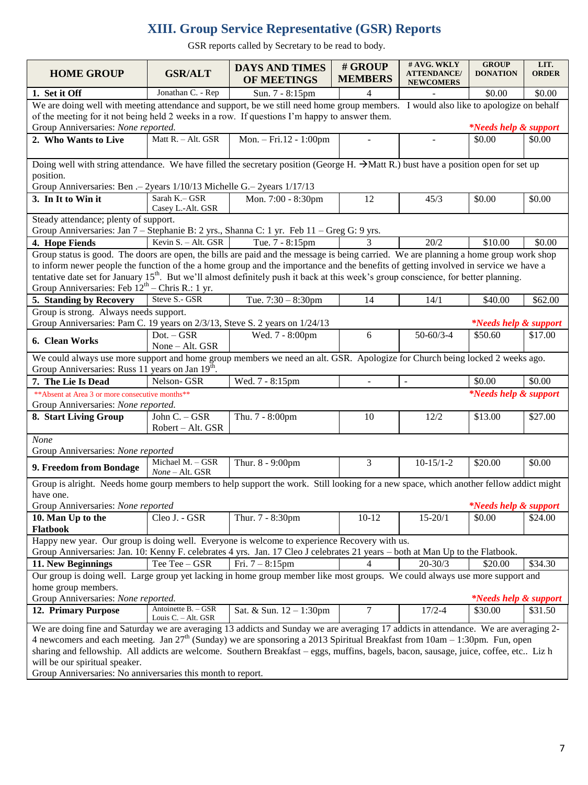# **XIII. Group Service Representative (GSR) Reports**

GSR reports called by Secretary to be read to body.

| <b>HOME GROUP</b>                                                                                                                                                                                                                                                                                                                                                                                                                                                                      | <b>GSR/ALT</b>                                                                                                                                                          | <b>DAYS AND TIMES</b><br><b>OF MEETINGS</b> | # GROUP<br><b>MEMBERS</b> | # AVG. WKLY<br><b>ATTENDANCE/</b><br><b>NEWCOMERS</b> | <b>GROUP</b><br><b>DONATION</b>  | LIT.<br><b>ORDER</b> |  |  |
|----------------------------------------------------------------------------------------------------------------------------------------------------------------------------------------------------------------------------------------------------------------------------------------------------------------------------------------------------------------------------------------------------------------------------------------------------------------------------------------|-------------------------------------------------------------------------------------------------------------------------------------------------------------------------|---------------------------------------------|---------------------------|-------------------------------------------------------|----------------------------------|----------------------|--|--|
| 1. Set it Off                                                                                                                                                                                                                                                                                                                                                                                                                                                                          | Jonathan C. - Rep                                                                                                                                                       | Sun. 7 - 8:15pm                             | 4                         |                                                       | \$0.00                           | \$0.00               |  |  |
| We are doing well with meeting attendance and support, be we still need home group members. I would also like to apologize on behalf                                                                                                                                                                                                                                                                                                                                                   |                                                                                                                                                                         |                                             |                           |                                                       |                                  |                      |  |  |
| of the meeting for it not being held 2 weeks in a row. If questions I'm happy to answer them.                                                                                                                                                                                                                                                                                                                                                                                          |                                                                                                                                                                         |                                             |                           |                                                       |                                  |                      |  |  |
| Group Anniversaries: None reported.<br><i>*Needs help &amp; support</i>                                                                                                                                                                                                                                                                                                                                                                                                                |                                                                                                                                                                         |                                             |                           |                                                       |                                  |                      |  |  |
| 2. Who Wants to Live                                                                                                                                                                                                                                                                                                                                                                                                                                                                   | Matt R. - Alt. GSR                                                                                                                                                      | Mon. - Fri.12 - 1:00pm                      |                           |                                                       | \$0.00                           | \$0.00               |  |  |
| Doing well with string attendance. We have filled the secretary position (George H. $\rightarrow$ Matt R.) bust have a position open for set up                                                                                                                                                                                                                                                                                                                                        |                                                                                                                                                                         |                                             |                           |                                                       |                                  |                      |  |  |
| position.<br>Group Anniversaries: Ben .- 2years 1/10/13 Michelle G.- 2years 1/17/13                                                                                                                                                                                                                                                                                                                                                                                                    |                                                                                                                                                                         |                                             |                           |                                                       |                                  |                      |  |  |
| 3. In It to Win it                                                                                                                                                                                                                                                                                                                                                                                                                                                                     | Sarah K.- GSR<br>Casey L.-Alt. GSR                                                                                                                                      | Mon. 7:00 - 8:30pm                          | 12                        | 45/3                                                  | \$0.00                           | \$0.00               |  |  |
| Steady attendance; plenty of support.                                                                                                                                                                                                                                                                                                                                                                                                                                                  |                                                                                                                                                                         |                                             |                           |                                                       |                                  |                      |  |  |
| Group Anniversaries: Jan 7 – Stephanie B: 2 yrs., Shanna C: 1 yr. Feb 11 – Greg G: 9 yrs.                                                                                                                                                                                                                                                                                                                                                                                              |                                                                                                                                                                         |                                             |                           |                                                       |                                  |                      |  |  |
| 4. Hope Fiends                                                                                                                                                                                                                                                                                                                                                                                                                                                                         | Kevin S. - Alt. GSR                                                                                                                                                     | Tue. 7 - 8:15pm                             | 3                         | 20/2                                                  | \$10.00                          | \$0.00               |  |  |
| Group status is good. The doors are open, the bills are paid and the message is being carried. We are planning a home group work shop<br>to inform newer people the function of the a home group and the importance and the benefits of getting involved in service we have a<br>tentative date set for January 15 <sup>th</sup> . But we'll almost definitely push it back at this week's group conscience, for better planning.<br>Group Anniversaries: Feb $12th$ – Chris R.: 1 yr. |                                                                                                                                                                         |                                             |                           |                                                       |                                  |                      |  |  |
| 5. Standing by Recovery                                                                                                                                                                                                                                                                                                                                                                                                                                                                | Steve S.- GSR                                                                                                                                                           | Tue. $7:30 - 8:30$ pm                       | 14                        | 14/1                                                  | \$40.00                          | \$62.00              |  |  |
| Group is strong. Always needs support.                                                                                                                                                                                                                                                                                                                                                                                                                                                 |                                                                                                                                                                         |                                             |                           |                                                       |                                  |                      |  |  |
| Group Anniversaries: Pam C. 19 years on 2/3/13, Steve S. 2 years on 1/24/13<br><i>*Needs help &amp; support</i>                                                                                                                                                                                                                                                                                                                                                                        |                                                                                                                                                                         |                                             |                           |                                                       |                                  |                      |  |  |
| 6. Clean Works                                                                                                                                                                                                                                                                                                                                                                                                                                                                         | $Dot. - GSR$<br>None - Alt. GSR                                                                                                                                         | Wed. 7 - 8:00pm                             | 6                         | $50 - 60/3 - 4$                                       | \$50.60                          | \$17.00              |  |  |
| We could always use more support and home group members we need an alt. GSR. Apologize for Church being locked 2 weeks ago.                                                                                                                                                                                                                                                                                                                                                            |                                                                                                                                                                         |                                             |                           |                                                       |                                  |                      |  |  |
| Group Anniversaries: Russ 11 years on Jan 19 <sup>th</sup> .                                                                                                                                                                                                                                                                                                                                                                                                                           |                                                                                                                                                                         |                                             |                           |                                                       |                                  |                      |  |  |
| 7. The Lie Is Dead                                                                                                                                                                                                                                                                                                                                                                                                                                                                     | Nelson-GSR                                                                                                                                                              | Wed. 7 - 8:15pm                             | $\omega$                  | $\blacksquare$                                        | \$0.00                           | \$0.00               |  |  |
| <i>*Needs help &amp; support</i><br>** Absent at Area 3 or more consecutive months**                                                                                                                                                                                                                                                                                                                                                                                                   |                                                                                                                                                                         |                                             |                           |                                                       |                                  |                      |  |  |
| Group Anniversaries: None reported.                                                                                                                                                                                                                                                                                                                                                                                                                                                    |                                                                                                                                                                         |                                             |                           |                                                       |                                  |                      |  |  |
| 8. Start Living Group                                                                                                                                                                                                                                                                                                                                                                                                                                                                  | John C. - GSR<br>Robert - Alt. GSR                                                                                                                                      | Thu. 7 - 8:00pm                             | 10                        | 12/2                                                  | \$13.00                          | \$27.00              |  |  |
| <b>None</b><br>Group Anniversaries: None reported                                                                                                                                                                                                                                                                                                                                                                                                                                      |                                                                                                                                                                         |                                             |                           |                                                       |                                  |                      |  |  |
| 9. Freedom from Bondage                                                                                                                                                                                                                                                                                                                                                                                                                                                                | Michael M. - GSR<br>None - Alt. GSR                                                                                                                                     | Thur. 8 - 9:00pm                            | 3                         | $10-15/1-2$                                           | \$20.00                          | \$0.00               |  |  |
| Group is alright. Needs home gourp members to help support the work. Still looking for a new space, which another fellow addict might                                                                                                                                                                                                                                                                                                                                                  |                                                                                                                                                                         |                                             |                           |                                                       |                                  |                      |  |  |
| have one.                                                                                                                                                                                                                                                                                                                                                                                                                                                                              |                                                                                                                                                                         |                                             |                           |                                                       |                                  |                      |  |  |
| Group Anniversaries: None reported<br><i>*Needs help &amp; support</i>                                                                                                                                                                                                                                                                                                                                                                                                                 |                                                                                                                                                                         |                                             |                           |                                                       |                                  |                      |  |  |
| 10. Man Up to the                                                                                                                                                                                                                                                                                                                                                                                                                                                                      | Cleo J. - GSR                                                                                                                                                           | Thur. 7 - 8:30pm                            | $10 - 12$                 | $15 - 20/1$                                           | \$0.00                           | \$24.00              |  |  |
| Flatbook                                                                                                                                                                                                                                                                                                                                                                                                                                                                               |                                                                                                                                                                         |                                             |                           |                                                       |                                  |                      |  |  |
| Happy new year. Our group is doing well. Everyone is welcome to experience Recovery with us.<br>Group Anniversaries: Jan. 10: Kenny F. celebrates 4 yrs. Jan. 17 Cleo J celebrates 21 years – both at Man Up to the Flatbook.                                                                                                                                                                                                                                                          |                                                                                                                                                                         |                                             |                           |                                                       |                                  |                      |  |  |
| 11. New Beginnings                                                                                                                                                                                                                                                                                                                                                                                                                                                                     | Tee Tee - GSR                                                                                                                                                           | Fri. $7 - 8:15$ pm                          |                           | $20 - 30/3$                                           | \$20.00                          | \$34.30              |  |  |
| Our group is doing well. Large group yet lacking in home group member like most groups. We could always use more support and                                                                                                                                                                                                                                                                                                                                                           |                                                                                                                                                                         |                                             |                           |                                                       |                                  |                      |  |  |
| home group members.                                                                                                                                                                                                                                                                                                                                                                                                                                                                    |                                                                                                                                                                         |                                             |                           |                                                       |                                  |                      |  |  |
| Group Anniversaries: None reported.                                                                                                                                                                                                                                                                                                                                                                                                                                                    |                                                                                                                                                                         |                                             |                           |                                                       | <i>*Needs help &amp; support</i> |                      |  |  |
| 12. Primary Purpose                                                                                                                                                                                                                                                                                                                                                                                                                                                                    | Antoinette B. - GSR<br>Louis C. - Alt. GSR                                                                                                                              | Sat. & Sun. 12 - 1:30pm                     | 7                         | $17/2 - 4$                                            | \$30.00                          | \$31.50              |  |  |
| We are doing fine and Saturday we are averaging 13 addicts and Sunday we are averaging 17 addicts in attendance. We are averaging 2-<br>4 newcomers and each meeting. Jan $27th$ (Sunday) we are sponsoring a 2013 Spiritual Breakfast from 10am – 1:30pm. Fun, open                                                                                                                                                                                                                   |                                                                                                                                                                         |                                             |                           |                                                       |                                  |                      |  |  |
|                                                                                                                                                                                                                                                                                                                                                                                                                                                                                        |                                                                                                                                                                         |                                             |                           |                                                       |                                  |                      |  |  |
|                                                                                                                                                                                                                                                                                                                                                                                                                                                                                        | sharing and fellowship. All addicts are welcome. Southern Breakfast - eggs, muffins, bagels, bacon, sausage, juice, coffee, etc Liz h<br>will be our spiritual speaker. |                                             |                           |                                                       |                                  |                      |  |  |
| Group Anniversaries: No anniversaries this month to report.                                                                                                                                                                                                                                                                                                                                                                                                                            |                                                                                                                                                                         |                                             |                           |                                                       |                                  |                      |  |  |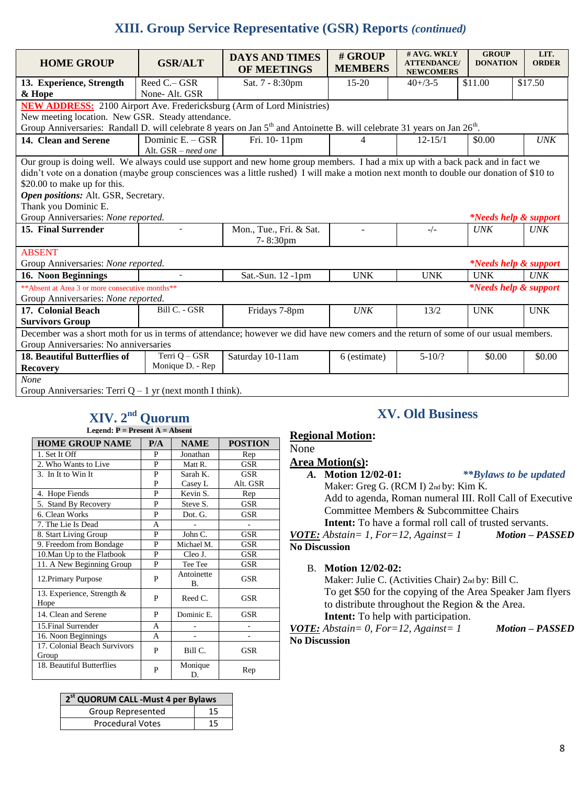# **XIII. Group Service Representative (GSR) Reports** *(continued)*

| <b>HOME GROUP</b>                                                                                                                                 | <b>GSR/ALT</b>                          | <b>DAYS AND TIMES</b><br>OF MEETINGS | # GROUP<br><b>MEMBERS</b> | # AVG. WKLY<br><b>ATTENDANCE/</b><br><b>NEWCOMERS</b> | <b>GROUP</b><br><b>DONATION</b> | LIT.<br><b>ORDER</b>             |  |  |  |
|---------------------------------------------------------------------------------------------------------------------------------------------------|-----------------------------------------|--------------------------------------|---------------------------|-------------------------------------------------------|---------------------------------|----------------------------------|--|--|--|
| 13. Experience, Strength                                                                                                                          | Reed C.- GSR                            | Sat. 7 - 8:30pm                      | $15 - 20$                 | $40+73-5$                                             | \$11.00                         | \$17.50                          |  |  |  |
| & Hope                                                                                                                                            | None-Alt. GSR                           |                                      |                           |                                                       |                                 |                                  |  |  |  |
| <b>NEW ADDRESS:</b> 2100 Airport Ave. Fredericksburg (Arm of Lord Ministries)                                                                     |                                         |                                      |                           |                                                       |                                 |                                  |  |  |  |
| New meeting location. New GSR. Steady attendance.                                                                                                 |                                         |                                      |                           |                                                       |                                 |                                  |  |  |  |
| Group Anniversaries: Randall D. will celebrate 8 years on Jan 5 <sup>th</sup> and Antoinette B. will celebrate 31 years on Jan 26 <sup>th</sup> . |                                         |                                      |                           |                                                       |                                 |                                  |  |  |  |
| 14. Clean and Serene                                                                                                                              | Dominic E. - GSR<br>Alt. GSR - need one | Fri. 10-11pm                         | 4                         | $12 - 15/1$                                           | \$0.00                          | <b>UNK</b>                       |  |  |  |
| Our group is doing well. We always could use support and new home group members. I had a mix up with a back pack and in fact we                   |                                         |                                      |                           |                                                       |                                 |                                  |  |  |  |
| didn't vote on a donation (maybe group consciences was a little rushed) I will make a motion next month to double our donation of \$10 to         |                                         |                                      |                           |                                                       |                                 |                                  |  |  |  |
| \$20.00 to make up for this.                                                                                                                      |                                         |                                      |                           |                                                       |                                 |                                  |  |  |  |
| Open positions: Alt. GSR, Secretary.                                                                                                              |                                         |                                      |                           |                                                       |                                 |                                  |  |  |  |
| Thank you Dominic E.                                                                                                                              |                                         |                                      |                           |                                                       |                                 |                                  |  |  |  |
| Group Anniversaries: None reported.                                                                                                               |                                         |                                      |                           |                                                       |                                 | <i>*Needs help &amp; support</i> |  |  |  |
| 15. Final Surrender                                                                                                                               |                                         | Mon., Tue., Fri. & Sat.<br>7-8:30pm  |                           | $-/-$                                                 | $U$ N $K$                       | $U$ N $K$                        |  |  |  |
| <b>ABSENT</b>                                                                                                                                     |                                         |                                      |                           |                                                       |                                 |                                  |  |  |  |
| Group Anniversaries: None reported.<br><i>*Needs help &amp; support</i>                                                                           |                                         |                                      |                           |                                                       |                                 |                                  |  |  |  |
| 16. Noon Beginnings                                                                                                                               |                                         | Sat.-Sun. 12 -1pm                    | <b>UNK</b>                | <b>UNK</b>                                            | <b>UNK</b>                      | <b>UNK</b>                       |  |  |  |
| <i>*Needs help &amp; support</i><br>** Absent at Area 3 or more consecutive months **<br>Group Anniversaries: None reported.                      |                                         |                                      |                           |                                                       |                                 |                                  |  |  |  |
| 17. Colonial Beach                                                                                                                                | Bill C. - GSR                           | Fridays 7-8pm                        | I/NK                      | 13/2                                                  | <b>UNK</b>                      | <b>UNK</b>                       |  |  |  |
| <b>Survivors Group</b>                                                                                                                            |                                         |                                      |                           |                                                       |                                 |                                  |  |  |  |
| December was a short moth for us in terms of attendance; however we did have new comers and the return of some of our usual members.              |                                         |                                      |                           |                                                       |                                 |                                  |  |  |  |
| Group Anniversaries: No anniversaries<br>Terri $Q - GSR$<br><b>18. Beautiful Butterflies of</b>                                                   |                                         |                                      |                           |                                                       |                                 |                                  |  |  |  |
| Saturday 10-11am<br>Monique D. - Rep<br><b>Recovery</b>                                                                                           |                                         |                                      | 6 (estimate)              | $5 - 10/?$                                            | \$0.00                          | \$0.00                           |  |  |  |
| None                                                                                                                                              |                                         |                                      |                           |                                                       |                                 |                                  |  |  |  |
| Group Anniversaries: Terri $Q - 1$ yr (next month I think).                                                                                       |                                         |                                      |                           |                                                       |                                 |                                  |  |  |  |

#### **XIV. 2 nd Quorum Legend: P = Present A = Absent**

| <b>HOME GROUP NAME</b>                | P/A | <b>NAME</b>             | <b>POSTION</b> |
|---------------------------------------|-----|-------------------------|----------------|
| 1. Set It Off                         | P   | Jonathan                | Rep            |
| 2. Who Wants to Live                  | P   | Matt R.                 | GSR            |
| 3. In It to Win It                    | P   | Sarah K.                | GSR            |
|                                       | P   | Casey L                 | Alt. GSR       |
| 4. Hope Fiends                        | P   | Kevin S.                | Rep            |
| 5. Stand By Recovery                  | P   | Steve S.                | <b>GSR</b>     |
| 6. Clean Works                        | P   | Dot. G.                 | GSR            |
| 7. The Lie Is Dead                    | A   |                         |                |
| 8. Start Living Group                 | P   | John C.                 | GSR            |
| 9. Freedom from Bondage               | P   | Michael M.              | <b>GSR</b>     |
| 10. Man Up to the Flatbook            | P   | Cleo J.                 | GSR            |
| 11. A New Beginning Group             | P   | Tee Tee                 | <b>GSR</b>     |
| 12. Primary Purpose                   | P   | Antoinette<br><b>B.</b> | <b>GSR</b>     |
| 13. Experience, Strength &<br>Hope    | P   | Reed C.                 | GSR            |
| 14. Clean and Serene                  | P   | Dominic E.              | GSR            |
| 15. Final Surrender                   | A   |                         |                |
| 16. Noon Beginnings                   | A   |                         |                |
| 17. Colonial Beach Survivors<br>Group | P   | Bill C.                 | GSR            |
| 18. Beautiful Butterflies             | P   | Monique<br>D.           | Rep            |

| 2 <sup>st</sup> QUORUM CALL -Must 4 per Bylaws |    |  |  |  |  |
|------------------------------------------------|----|--|--|--|--|
| Group Represented                              | 15 |  |  |  |  |
| <b>Procedural Votes</b>                        | 15 |  |  |  |  |

# **XV. Old Business**

#### **Regional Motion:**

None

#### **Area Motion(s):**

*A.* **Motion 12/02-01:** *\*\*Bylaws to be updated* Maker: Greg G. (RCM I) 2nd by: Kim K. Add to agenda, Roman numeral III. Roll Call of Executive Committee Members & Subcommittee Chairs **Intent:** To have a formal roll call of trusted servants.

*VOTE: Abstain= 1, For=12, Against= 1 Motion – PASSED* **No Discussion**

B. **Motion 12/02-02:**

Maker: Julie C. (Activities Chair) 2nd by: Bill C. To get \$50 for the copying of the Area Speaker Jam flyers to distribute throughout the Region & the Area. **Intent:** To help with participation.

*VOTE: Abstain= 0, For=12, Against= 1 Motion – PASSED* **No Discussion**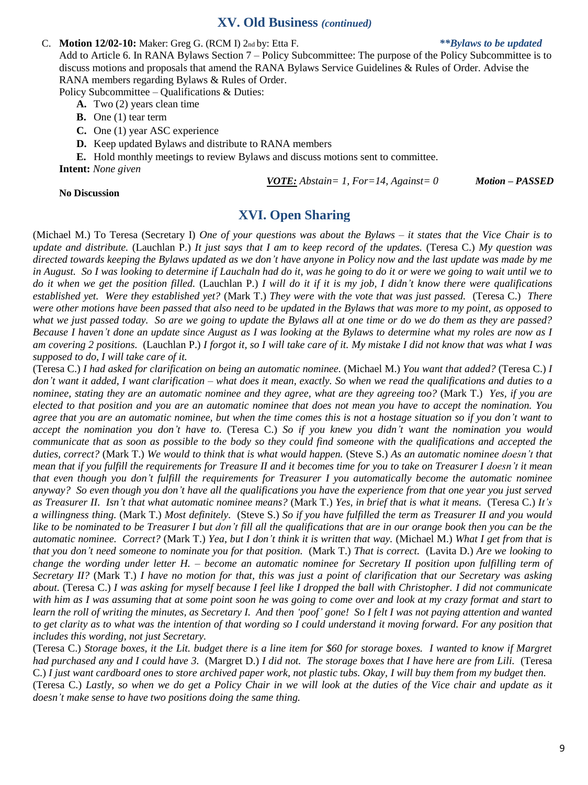#### **XV. Old Business** *(continued)*

#### C. **Motion 12/02-10:** Maker: Greg G. (RCM I) 2nd by: Etta F. *\*\*Bylaws to be updated*

Add to Article 6. In RANA Bylaws Section 7 – Policy Subcommittee: The purpose of the Policy Subcommittee is to discuss motions and proposals that amend the RANA Bylaws Service Guidelines & Rules of Order. Advise the RANA members regarding Bylaws & Rules of Order.

Policy Subcommittee – Qualifications & Duties:

- **A.** Two (2) years clean time
- **B.** One (1) tear term
- **C.** One (1) year ASC experience
- **D.** Keep updated Bylaws and distribute to RANA members

**E.** Hold monthly meetings to review Bylaws and discuss motions sent to committee. **Intent:** *None given* 

**No Discussion**

#### *VOTE: Abstain= 1, For=14, Against= 0 Motion – PASSED*

**XVI. Open Sharing**

(Michael M.) To Teresa (Secretary I) *One of your questions was about the Bylaws – it states that the Vice Chair is to update and distribute.* (Lauchlan P.) *It just says that I am to keep record of the updates.* (Teresa C.) *My question was directed towards keeping the Bylaws updated as we don't have anyone in Policy now and the last update was made by me in August. So I was looking to determine if Lauchaln had do it, was he going to do it or were we going to wait until we to do it when we get the position filled.* (Lauchlan P.) *I will do it if it is my job, I didn't know there were qualifications established yet. Were they established yet?* (Mark T.) *They were with the vote that was just passed.* (Teresa C.) *There were other motions have been passed that also need to be updated in the Bylaws that was more to my point, as opposed to what we just passed today. So are we going to update the Bylaws all at one time or do we do them as they are passed? Because I haven't done an update since August as I was looking at the Bylaws to determine what my roles are now as I am covering 2 positions.* (Lauchlan P.) *I forgot it, so I will take care of it. My mistake I did not know that was what I was supposed to do, I will take care of it.* 

(Teresa C.) *I had asked for clarification on being an automatic nominee.* (Michael M.) *You want that added?* (Teresa C.) *I don't want it added, I want clarification – what does it mean, exactly. So when we read the qualifications and duties to a nominee, stating they are an automatic nominee and they agree, what are they agreeing too?* (Mark T.) *Yes, if you are elected to that position and you are an automatic nominee that does not mean you have to accept the nomination. You agree that you are an automatic nominee, but when the time comes this is not a hostage situation so if you don't want to accept the nomination you don't have to.* (Teresa C.) *So if you knew you didn't want the nomination you would communicate that as soon as possible to the body so they could find someone with the qualifications and accepted the duties, correct?* (Mark T.) *We would to think that is what would happen.* (Steve S.) *As an automatic nominee doesn't that mean that if you fulfill the requirements for Treasure II and it becomes time for you to take on Treasurer I doesn't it mean that even though you don't fulfill the requirements for Treasurer I you automatically become the automatic nominee anyway? So even though you don't have all the qualifications you have the experience from that one year you just served as Treasurer II. Isn't that what automatic nominee means?* (Mark T.) *Yes, in brief that is what it means.* (Teresa C.) *It's a willingness thing.* (Mark T.) *Most definitely.* (Steve S.) *So if you have fulfilled the term as Treasurer II and you would like to be nominated to be Treasurer I but don't fill all the qualifications that are in our orange book then you can be the automatic nominee. Correct?* (Mark T.) *Yea, but I don't think it is written that way.* (Michael M.) *What I get from that is that you don't need someone to nominate you for that position.* (Mark T.) *That is correct.* (Lavita D.) *Are we looking to change the wording under letter H. – become an automatic nominee for Secretary II position upon fulfilling term of Secretary II?* (Mark T.) *I have no motion for that, this was just a point of clarification that our Secretary was asking about.* (Teresa C.) *I was asking for myself because I feel like I dropped the ball with Christopher. I did not communicate with him as I was assuming that at some point soon he was going to come over and look at my crazy format and start to learn the roll of writing the minutes, as Secretary I. And then 'poof' gone! So I felt I was not paying attention and wanted to get clarity as to what was the intention of that wording so I could understand it moving forward. For any position that includes this wording, not just Secretary.* 

(Teresa C.) *Storage boxes, it the Lit. budget there is a line item for \$60 for storage boxes. I wanted to know if Margret had purchased any and I could have 3.* (Margret D.) *I did not. The storage boxes that I have here are from Lili.* (Teresa C.) *I just want cardboard ones to store archived paper work, not plastic tubs. Okay, I will buy them from my budget then.*  (Teresa C.) *Lastly, so when we do get a Policy Chair in we will look at the duties of the Vice chair and update as it doesn't make sense to have two positions doing the same thing.*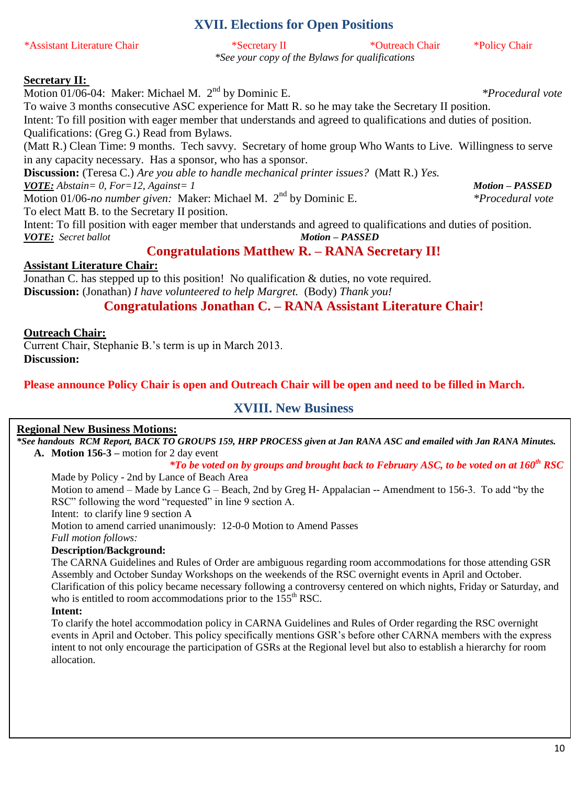# **XVII. Elections for Open Positions**

\*Assistant Literature Chair \*Secretary II \*Outreach Chair \*Policy Chair *\*See your copy of the Bylaws for qualifications*

#### **Secretary II:**

Motion 01/06-04: Maker: Michael M. 2nd by Dominic E. *\*Procedural vote*

To waive 3 months consecutive ASC experience for Matt R. so he may take the Secretary II position. Intent: To fill position with eager member that understands and agreed to qualifications and duties of position. Qualifications: (Greg G.) Read from Bylaws.

(Matt R.) Clean Time: 9 months. Tech savvy. Secretary of home group Who Wants to Live. Willingness to serve in any capacity necessary. Has a sponsor, who has a sponsor.

**Discussion:** (Teresa C.) *Are you able to handle mechanical printer issues?* (Matt R.) *Yes. VOTE: Abstain= 0, For=12, Against= 1 Motion – PASSED*

Motion 01/06-*no number given:* Maker: Michael M. 2nd by Dominic E. *\*Procedural vote*

To elect Matt B. to the Secretary II position.

Intent: To fill position with eager member that understands and agreed to qualifications and duties of position. *VOTE: Secret ballot Motion – PASSED*

# **Congratulations Matthew R. – RANA Secretary II!**

### **Assistant Literature Chair:**

Jonathan C. has stepped up to this position! No qualification & duties, no vote required. **Discussion:** (Jonathan) *I have volunteered to help Margret.* (Body) *Thank you!*

# **Congratulations Jonathan C. – RANA Assistant Literature Chair!**

### **Outreach Chair:**

Current Chair, Stephanie B.'s term is up in March 2013. **Discussion:**

### **Please announce Policy Chair is open and Outreach Chair will be open and need to be filled in March.**

# **XVIII. New Business**

### **Regional New Business Motions:**

*\*See handouts RCM Report, BACK TO GROUPS 159, HRP PROCESS given at Jan RANA ASC and emailed with Jan RANA Minutes.* **A. Motion 156-3 –** motion for 2 day event

## *\*To be voted on by groups and brought back to February ASC, to be voted on at 160th RSC*

Made by Policy - 2nd by Lance of Beach Area Motion to amend – Made by Lance  $G$  – Beach, 2nd by Greg H- Appalacian -- Amendment to 156-3. To add "by the RSC" following the word "requested" in line 9 section A. Intent: to clarify line 9 section A Motion to amend carried unanimously: 12-0-0 Motion to Amend Passes *Full motion follows:*

**Description/Background:**

The CARNA Guidelines and Rules of Order are ambiguous regarding room accommodations for those attending GSR Assembly and October Sunday Workshops on the weekends of the RSC overnight events in April and October. Clarification of this policy became necessary following a controversy centered on which nights, Friday or Saturday, and who is entitled to room accommodations prior to the 155<sup>th</sup> RSC.

#### **Intent:**

To clarify the hotel accommodation policy in CARNA Guidelines and Rules of Order regarding the RSC overnight events in April and October. This policy specifically mentions GSR's before other CARNA members with the express intent to not only encourage the participation of GSRs at the Regional level but also to establish a hierarchy for room allocation.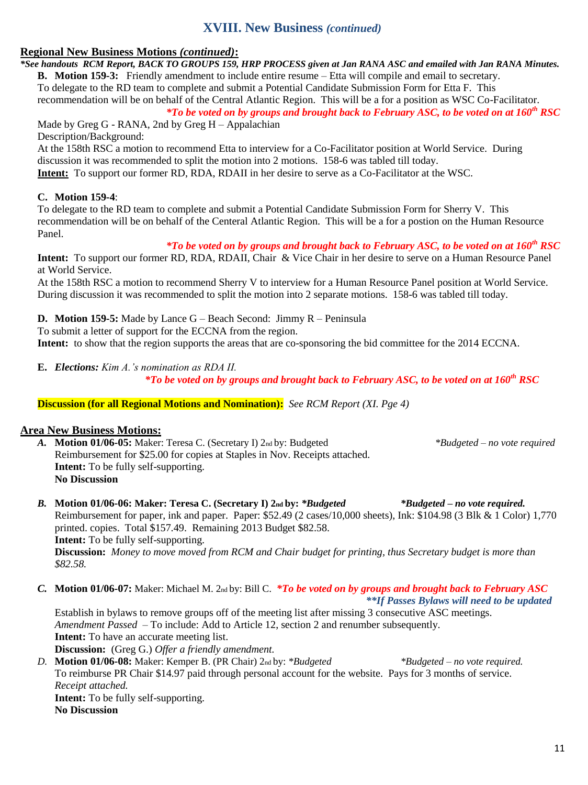# **XVIII. New Business** *(continued)*

### **Regional New Business Motions** *(continued)***:**

*\*See handouts RCM Report, BACK TO GROUPS 159, HRP PROCESS given at Jan RANA ASC and emailed with Jan RANA Minutes.* **B. Motion 159-3:** Friendly amendment to include entire resume – Etta will compile and email to secretary. To delegate to the RD team to complete and submit a Potential Candidate Submission Form for Etta F. This recommendation will be on behalf of the Central Atlantic Region. This will be a for a position as WSC Co-Facilitator.

*\*To be voted on by groups and brought back to February ASC, to be voted on at 160th RSC* Made by Greg G - RANA, 2nd by Greg  $H -$ Appalachian

Description/Background:

At the 158th RSC a motion to recommend Etta to interview for a Co-Facilitator position at World Service. During discussion it was recommended to split the motion into 2 motions. 158-6 was tabled till today.

**Intent:** To support our former RD, RDA, RDAII in her desire to serve as a Co-Facilitator at the WSC.

#### **C. Motion 159-4**:

To delegate to the RD team to complete and submit a Potential Candidate Submission Form for Sherry V. This recommendation will be on behalf of the Centeral Atlantic Region. This will be a for a postion on the Human Resource Panel.

*\*To be voted on by groups and brought back to February ASC, to be voted on at 160th RSC*

**Intent:** To support our former RD, RDA, RDAII, Chair & Vice Chair in her desire to serve on a Human Resource Panel at World Service.

At the 158th RSC a motion to recommend Sherry V to interview for a Human Resource Panel position at World Service. During discussion it was recommended to split the motion into 2 separate motions. 158-6 was tabled till today.

**D. Motion 159-5:** Made by Lance G – Beach Second: Jimmy R – Peninsula

To submit a letter of support for the ECCNA from the region.

**Intent:** to show that the region supports the areas that are co-sponsoring the bid committee for the 2014 ECCNA.

**E.** *Elections: Kim A.'s nomination as RDA II.*

*\*To be voted on by groups and brought back to February ASC, to be voted on at 160th RSC*

**Discussion (for all Regional Motions and Nomination):** *See RCM Report (XI. Pge 4)*

### **Area New Business Motions:**

- *A.* **Motion 01/06-05:** Maker: Teresa C. (Secretary I) 2nd by: Budgeted *\*Budgeted – no vote required* Reimbursement for \$25.00 for copies at Staples in Nov. Receipts attached. **Intent:** To be fully self-supporting. **No Discussion**
- *B.* **Motion 01/06-06: Maker: Teresa C. (Secretary I) 2nd by:** *\*Budgeted \*Budgeted – no vote required.* Reimbursement for paper, ink and paper. Paper: \$52.49 (2 cases/10,000 sheets), Ink: \$104.98 (3 Blk & 1 Color) 1,770 printed. copies. Total \$157.49. Remaining 2013 Budget \$82.58. **Intent:** To be fully self-supporting. **Discussion:** *Money to move moved from RCM and Chair budget for printing, thus Secretary budget is more than \$82.58.*
- *C.* **Motion 01/06-07:** Maker: Michael M. 2nd by: Bill C. *\*To be voted on by groups and brought back to February ASC \*\*If Passes Bylaws will need to be updated*

Establish in bylaws to remove groups off of the meeting list after missing 3 consecutive ASC meetings. *Amendment Passed* – To include: Add to Article 12, section 2 and renumber subsequently. **Intent:** To have an accurate meeting list. **Discussion:** (Greg G.) *Offer a friendly amendment.*

*D.* **Motion 01/06-08:** Maker: Kemper B. (PR Chair) 2nd by: *\*Budgeted \*Budgeted – no vote required.* To reimburse PR Chair \$14.97 paid through personal account for the website. Pays for 3 months of service. *Receipt attached.* **Intent:** To be fully self-supporting. **No Discussion**